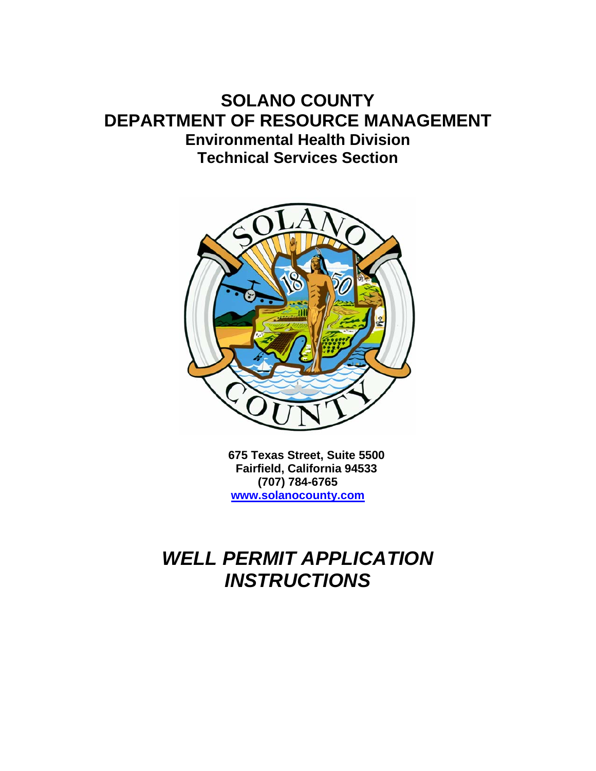## **SOLANO COUNTY DEPARTMENT OF RESOURCE MANAGEMENT Environmental Health Division Technical Services Section**



**675 Texas Street, Suite 5500 Fairfield, California 94533 (707) 784-6765 www.solanocounty.com**

## *WELL PERMIT APPLICATION INSTRUCTIONS*